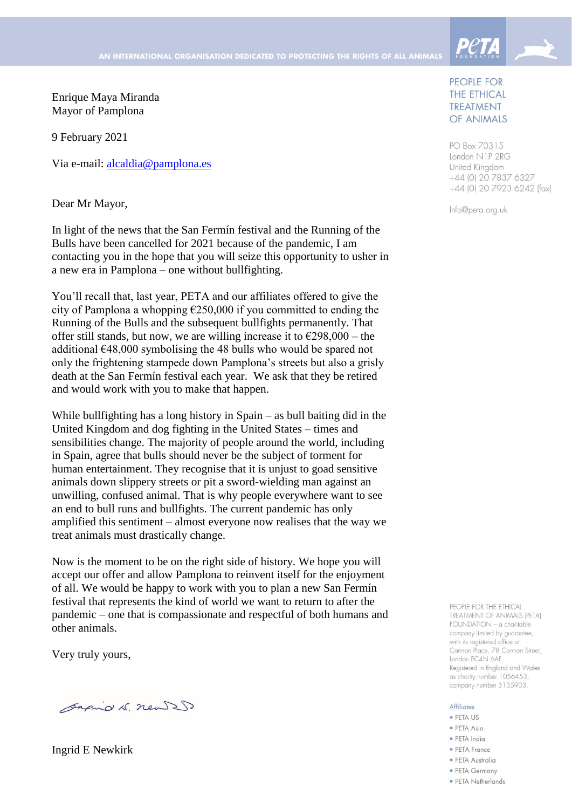Enrique Maya Miranda Mayor of Pamplona

9 February 2021

Via e-mail: [alcaldia@pamplona.es](mailto:alcaldia@pamplona.es)

Dear Mr Mayor,

In light of the news that the San Fermín festival and the Running of the Bulls have been cancelled for 2021 because of the pandemic, I am contacting you in the hope that you will seize this opportunity to usher in a new era in Pamplona – one without bullfighting.

You'll recall that, last year, PETA and our affiliates offered to give the city of Pamplona a whopping  $\epsilon$ 250,000 if you committed to ending the Running of the Bulls and the subsequent bullfights permanently. That offer still stands, but now, we are willing increase it to  $\epsilon$ 298,000 – the additional €48,000 symbolising the 48 bulls who would be spared not only the frightening stampede down Pamplona's streets but also a grisly death at the San Fermín festival each year. We ask that they be retired and would work with you to make that happen.

While bullfighting has a long history in Spain – as bull baiting did in the United Kingdom and dog fighting in the United States – times and sensibilities change. The majority of people around the world, including in Spain, agree that bulls should never be the subject of torment for human entertainment. They recognise that it is unjust to goad sensitive animals down slippery streets or pit a sword-wielding man against an unwilling, confused animal. That is why people everywhere want to see an end to bull runs and bullfights. The current pandemic has only amplified this sentiment – almost everyone now realises that the way we treat animals must drastically change.

Now is the moment to be on the right side of history. We hope you will accept our offer and allow Pamplona to reinvent itself for the enjoyment of all. We would be happy to work with you to plan a new San Fermín festival that represents the kind of world we want to return to after the pandemic – one that is compassionate and respectful of both humans and other animals.

Very truly yours,

Sagno 15. new 250

Ingrid E Newkirk

## PEOPLE FOR **THE ETHICAL TREATMENT** OF ANIMALS

**Peta** 

PO Box 70315 London N1P 2RG United Kingdom +44 (0) 20 7837 6327 +44 (0) 20 7923 6242 (fax)

Info@peta.org.uk

PEOPLE FOR THE ETHICAL TREATMENT OF ANIMALS (PETA) FOUNDATION - a charitable company limited by guarantee, with its registered office at Cannon Place, 78 Cannon Street, London EC4N 6AF. Registered in England and Wales as charity number 1056453, company number 3135903.

## **Affiliates**

- · PETA US
- · PETA Asia
- · PETA India
- PETA France
- · PETA Australia
- PETA Germany • PETA Netherlands